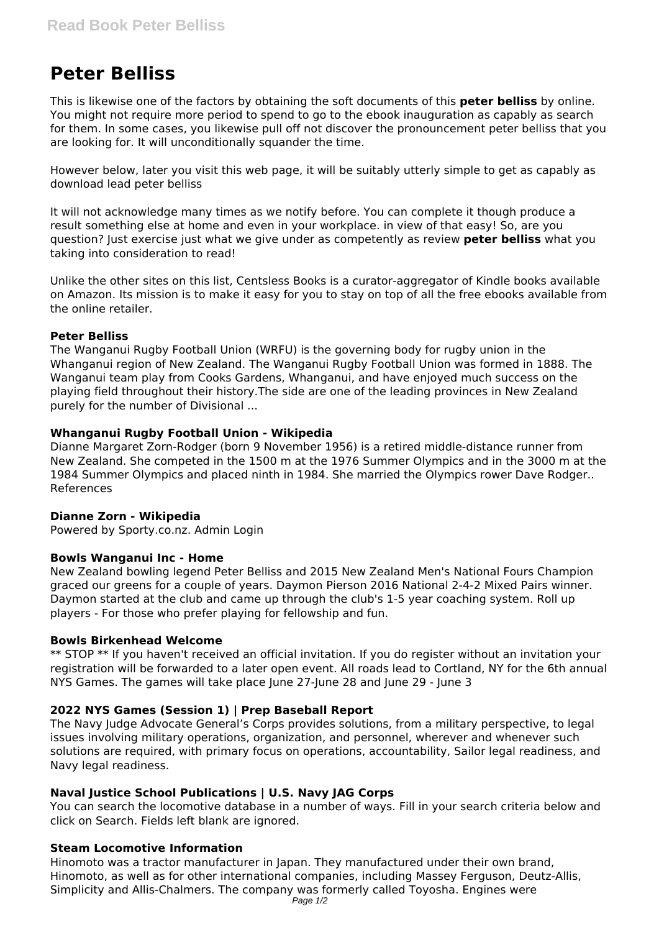# **Peter Belliss**

This is likewise one of the factors by obtaining the soft documents of this **peter belliss** by online. You might not require more period to spend to go to the ebook inauguration as capably as search for them. In some cases, you likewise pull off not discover the pronouncement peter belliss that you are looking for. It will unconditionally squander the time.

However below, later you visit this web page, it will be suitably utterly simple to get as capably as download lead peter belliss

It will not acknowledge many times as we notify before. You can complete it though produce a result something else at home and even in your workplace. in view of that easy! So, are you question? Just exercise just what we give under as competently as review **peter belliss** what you taking into consideration to read!

Unlike the other sites on this list, Centsless Books is a curator-aggregator of Kindle books available on Amazon. Its mission is to make it easy for you to stay on top of all the free ebooks available from the online retailer.

## **Peter Belliss**

The Wanganui Rugby Football Union (WRFU) is the governing body for rugby union in the Whanganui region of New Zealand. The Wanganui Rugby Football Union was formed in 1888. The Wanganui team play from Cooks Gardens, Whanganui, and have enjoyed much success on the playing field throughout their history.The side are one of the leading provinces in New Zealand purely for the number of Divisional ...

#### **Whanganui Rugby Football Union - Wikipedia**

Dianne Margaret Zorn-Rodger (born 9 November 1956) is a retired middle-distance runner from New Zealand. She competed in the 1500 m at the 1976 Summer Olympics and in the 3000 m at the 1984 Summer Olympics and placed ninth in 1984. She married the Olympics rower Dave Rodger.. References

## **Dianne Zorn - Wikipedia**

Powered by Sporty.co.nz. Admin Login

## **Bowls Wanganui Inc - Home**

New Zealand bowling legend Peter Belliss and 2015 New Zealand Men's National Fours Champion graced our greens for a couple of years. Daymon Pierson 2016 National 2-4-2 Mixed Pairs winner. Daymon started at the club and came up through the club's 1-5 year coaching system. Roll up players - For those who prefer playing for fellowship and fun.

#### **Bowls Birkenhead Welcome**

\*\* STOP \*\* If you haven't received an official invitation. If you do register without an invitation your registration will be forwarded to a later open event. All roads lead to Cortland, NY for the 6th annual NYS Games. The games will take place June 27-June 28 and June 29 - June 3

## **2022 NYS Games (Session 1) | Prep Baseball Report**

The Navy Judge Advocate General's Corps provides solutions, from a military perspective, to legal issues involving military operations, organization, and personnel, wherever and whenever such solutions are required, with primary focus on operations, accountability, Sailor legal readiness, and Navy legal readiness.

## **Naval Justice School Publications | U.S. Navy JAG Corps**

You can search the locomotive database in a number of ways. Fill in your search criteria below and click on Search. Fields left blank are ignored.

## **Steam Locomotive Information**

Hinomoto was a tractor manufacturer in Japan. They manufactured under their own brand, Hinomoto, as well as for other international companies, including Massey Ferguson, Deutz-Allis, Simplicity and Allis-Chalmers. The company was formerly called Toyosha. Engines were